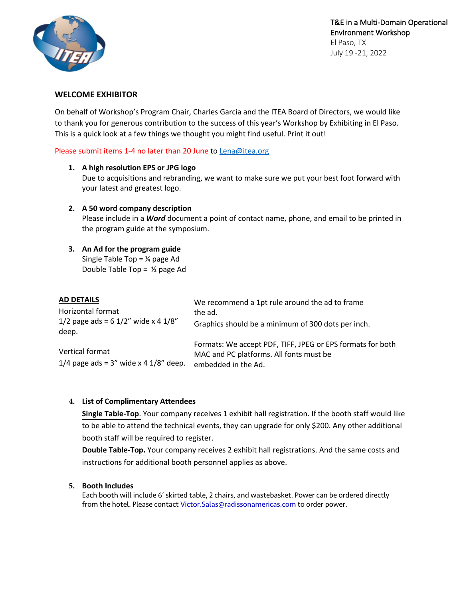

T&E in a Multi-Domain Operational Environment Workshop El Paso, TX July 19 -21, 2022

#### **WELCOME EXHIBITOR**

On behalf of Workshop's Program Chair, Charles Garcia and the ITEA Board of Directors, we would like to thank you for generous contribution to the success of this year's Workshop by Exhibiting in El Paso. This is a quick look at a few things we thought you might find useful. Print it out!

Please submit items 1-4 no later than 20 June to Lena@itea.org

#### **1. A high resolution EPS or JPG logo**

Due to acquisitions and rebranding, we want to make sure we put your best foot forward with your latest and greatest logo.

#### **2. A 50 word company description**

Please include in a *Word* document a point of contact name, phone, and email to be printed in the program guide at the symposium.

# **3. An Ad for the program guide**

Single Table Top = ¼ page Ad Double Table Top =  $\frac{1}{2}$  page Ad

| <b>AD DETAILS</b>                                              | We recommend a 1pt rule around the ad to frame<br>the ad.                                                                    |
|----------------------------------------------------------------|------------------------------------------------------------------------------------------------------------------------------|
| Horizontal format                                              |                                                                                                                              |
| 1/2 page ads = $6$ 1/2" wide x 4 1/8"<br>deep.                 | Graphics should be a minimum of 300 dots per inch.                                                                           |
| Vertical format<br>1/4 page ads = $3''$ wide x 4 $1/8''$ deep. | Formats: We accept PDF, TIFF, JPEG or EPS formats for both<br>MAC and PC platforms. All fonts must be<br>embedded in the Ad. |

### **4. List of Complimentary Attendees**

**Single Table-Top**. Your company receives 1 exhibit hall registration. If the booth staff would like to be able to attend the technical events, they can upgrade for only \$200. Any other additional booth staff will be required to register.

**Double Table-Top.** Your company receives 2 exhibit hall registrations. And the same costs and instructions for additional booth personnel applies as above.

### **5. Booth Includes**

Each booth will include 6' skirted table, 2 chairs, and wastebasket. Power can be ordered directly from the hotel. Please contact <Victor.Salas@radissonamericas.com> to order power.